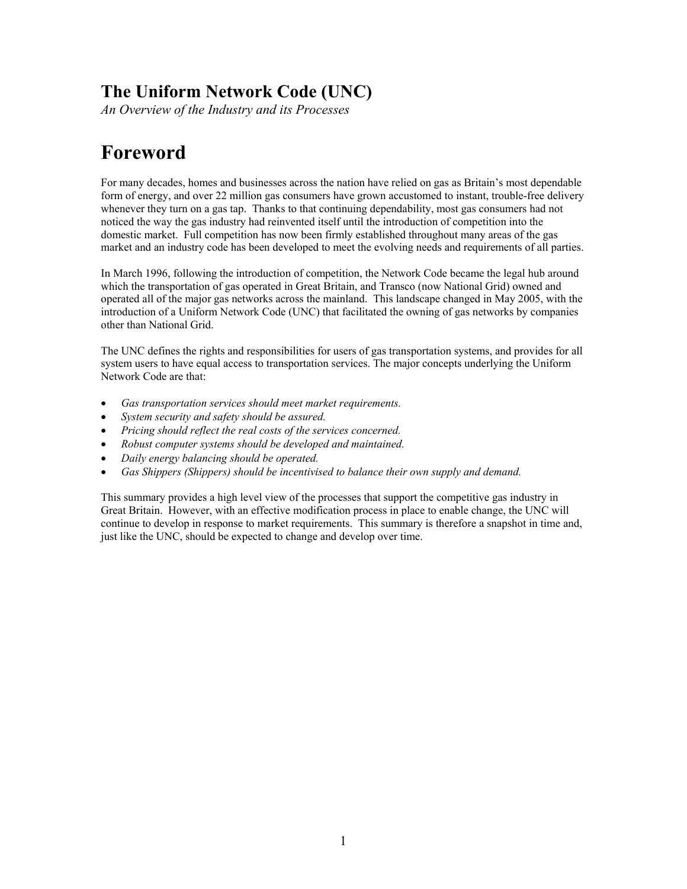# **The Uniform Network Code (UNC)**

*An Overview of the Industry and its Processes*

# **Foreword**

For many decades, homes and businesses across the nation have relied on gas as Britain's most dependable form of energy, and over 22 million gas consumers have grown accustomed to instant, trouble-free delivery whenever they turn on a gas tap. Thanks to that continuing dependability, most gas consumers had not noticed the way the gas industry had reinvented itself until the introduction of competition into the domestic market. Full competition has now been firmly established throughout many areas of the gas market and an industry code has been developed to meet the evolving needs and requirements of all parties.

In March 1996, following the introduction of competition, the Network Code became the legal hub around which the transportation of gas operated in Great Britain, and Transco (now National Grid) owned and operated all of the major gas networks across the mainland. This landscape changed in May 2005, with the introduction of a Uniform Network Code (UNC) that facilitated the owning of gas networks by companies other than National Grid.

The UNC defines the rights and responsibilities for users of gas transportation systems, and provides for all system users to have equal access to transportation services. The major concepts underlying the Uniform Network Code are that:

- *Gas transportation services should meet market requirements.*
- *System security and safety should be assured.*
- *Pricing should reflect the real costs of the services concerned.*
- *Robust computer systems should be developed and maintained.*
- *Daily energy balancing should be operated.*
- *Gas Shippers (Shippers) should be incentivised to balance their own supply and demand.*

This summary provides a high level view of the processes that support the competitive gas industry in Great Britain. However, with an effective modification process in place to enable change, the UNC will continue to develop in response to market requirements. This summary is therefore a snapshot in time and, just like the UNC, should be expected to change and develop over time.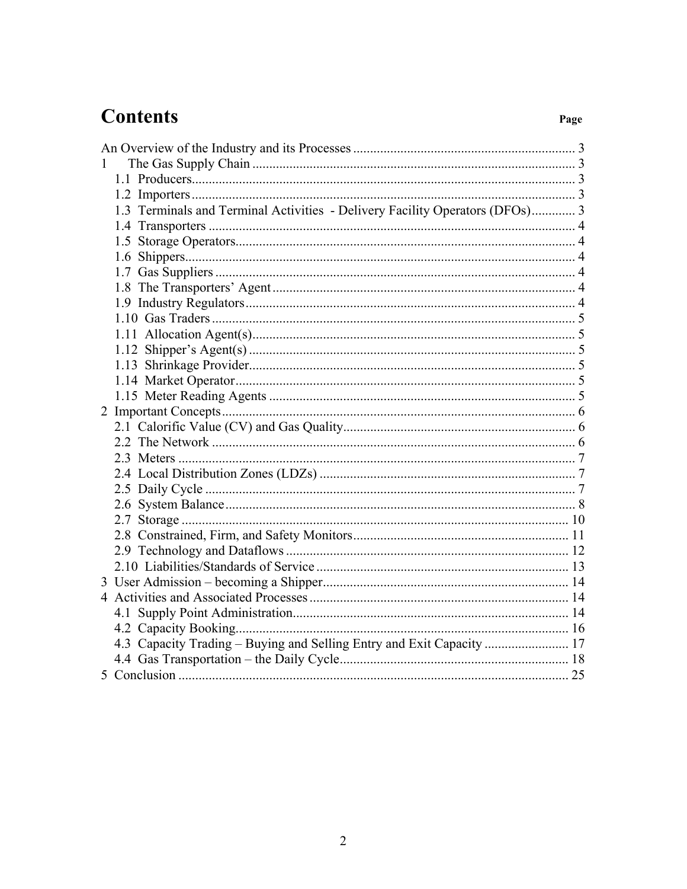# **Contents**

| $\mathbf{1}$ |                                                                              |  |
|--------------|------------------------------------------------------------------------------|--|
|              |                                                                              |  |
|              |                                                                              |  |
|              | 1.3 Terminals and Terminal Activities - Delivery Facility Operators (DFOs) 3 |  |
|              |                                                                              |  |
|              |                                                                              |  |
|              |                                                                              |  |
|              |                                                                              |  |
|              |                                                                              |  |
|              |                                                                              |  |
|              |                                                                              |  |
|              |                                                                              |  |
|              |                                                                              |  |
|              |                                                                              |  |
|              |                                                                              |  |
|              |                                                                              |  |
|              |                                                                              |  |
|              |                                                                              |  |
|              |                                                                              |  |
|              |                                                                              |  |
|              |                                                                              |  |
|              |                                                                              |  |
|              |                                                                              |  |
|              |                                                                              |  |
|              |                                                                              |  |
|              |                                                                              |  |
|              |                                                                              |  |
|              |                                                                              |  |
|              |                                                                              |  |
|              |                                                                              |  |
|              |                                                                              |  |
|              | 4.3 Capacity Trading – Buying and Selling Entry and Exit Capacity  17        |  |
|              |                                                                              |  |
|              |                                                                              |  |
|              |                                                                              |  |

Page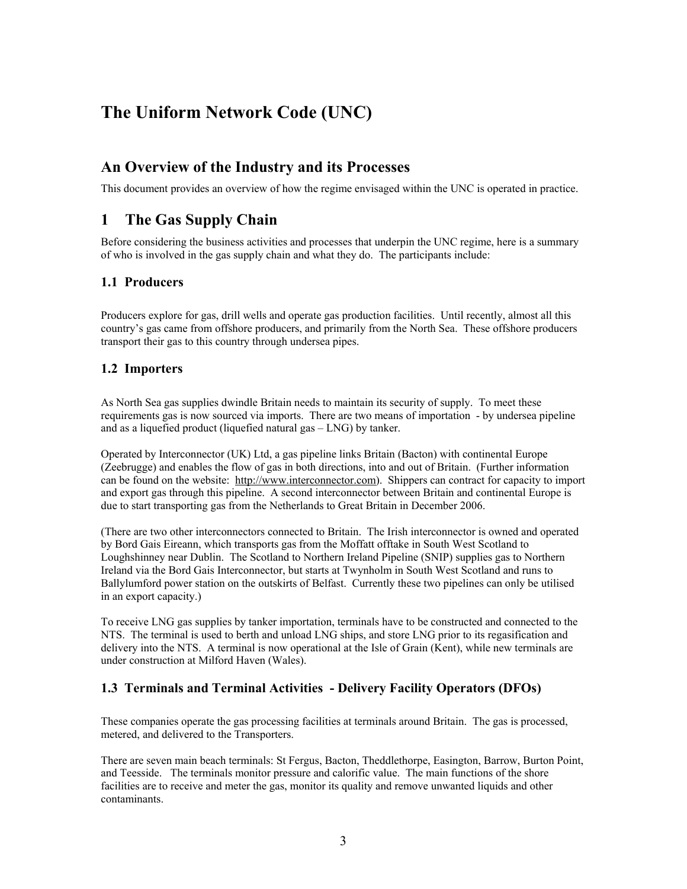# <span id="page-2-0"></span>**The Uniform Network Code (UNC)**

# **An Overview of the Industry and its Processes**

This document provides an overview of how the regime envisaged within the UNC is operated in practice.

# **1 The Gas Supply Chain**

Before considering the business activities and processes that underpin the UNC regime, here is a summary of who is involved in the gas supply chain and what they do. The participants include:

# **1.1 Producers**

Producers explore for gas, drill wells and operate gas production facilities. Until recently, almost all this country's gas came from offshore producers, and primarily from the North Sea. These offshore producers transport their gas to this country through undersea pipes.

### **1.2 Importers**

As North Sea gas supplies dwindle Britain needs to maintain its security of supply. To meet these requirements gas is now sourced via imports. There are two means of importation - by undersea pipeline and as a liquefied product (liquefied natural gas – LNG) by tanker.

Operated by Interconnector (UK) Ltd, a gas pipeline links Britain (Bacton) with continental Europe (Zeebrugge) and enables the flow of gas in both directions, into and out of Britain. (Further information can be found on the website: h[ttp://www.interconnector.com](http://www.interconnector.com/)). Shippers can contract for capacity to import and export gas through this pipeline. A second interconnector between Britain and continental Europe is due to start transporting gas from the Netherlands to Great Britain in December 2006.

(There are two other interconnectors connected to Britain. The Irish interconnector is owned and operated by Bord Gais Eireann, which transports gas from the Moffatt offtake in South West Scotland to Loughshinney near Dublin. The Scotland to Northern Ireland Pipeline (SNIP) supplies gas to Northern Ireland via the Bord Gais Interconnector, but starts at Twynholm in South West Scotland and runs to Ballylumford power station on the outskirts of Belfast. Currently these two pipelines can only be utilised in an export capacity.)

To receive LNG gas supplies by tanker importation, terminals have to be constructed and connected to the NTS. The terminal is used to berth and unload LNG ships, and store LNG prior to its regasification and delivery into the NTS. A terminal is now operational at the Isle of Grain (Kent), while new terminals are under construction at Milford Haven (Wales).

# **1.3 Terminals and Terminal Activities - Delivery Facility Operators (DFOs)**

These companies operate the gas processing facilities at terminals around Britain. The gas is processed, metered, and delivered to the Transporters.

There are seven main beach terminals: St Fergus, Bacton, Theddlethorpe, Easington, Barrow, Burton Point, and Teesside. The terminals monitor pressure and calorific value. The main functions of the shore facilities are to receive and meter the gas, monitor its quality and remove unwanted liquids and other contaminants.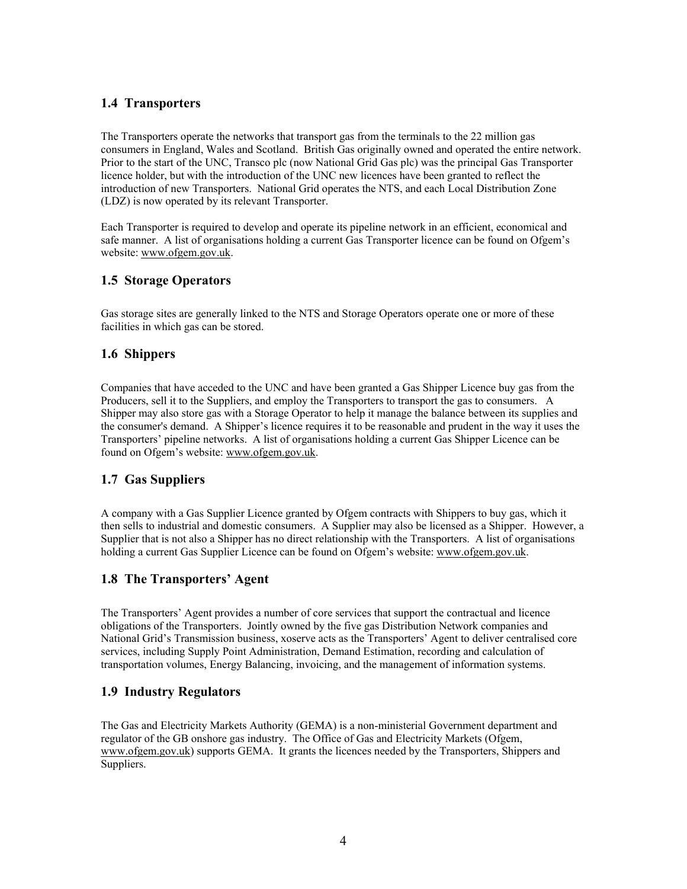# <span id="page-3-0"></span>**1.4 Transporters**

The Transporters operate the networks that transport gas from the terminals to the 22 million gas consumers in England, Wales and Scotland. British Gas originally owned and operated the entire network. Prior to the start of the UNC, Transco plc (now National Grid Gas plc) was the principal Gas Transporter licence holder, but with the introduction of the UNC new licences have been granted to reflect the introduction of new Transporters. National Grid operates the NTS, and each Local Distribution Zone (LDZ) is now operated by its relevant Transporter.

Each Transporter is required to develop and operate its pipeline network in an efficient, economical and safe manner. A list of organisations holding a current Gas Transporter licence can be found on Ofgem's website: w[ww.ofgem.gov.uk.](http://www.ofgem.gov.uk/)

# **1.5 Storage Operators**

Gas storage sites are generally linked to the NTS and Storage Operators operate one or more of these facilities in which gas can be stored.

### **1.6 Shippers**

Companies that have acceded to the UNC and have been granted a Gas Shipper Licence buy gas from the Producers, sell it to the Suppliers, and employ the Transporters to transport the gas to consumers. A Shipper may also store gas with a Storage Operator to help it manage the balance between its supplies and the consumer's demand. A Shipper's licence requires it to be reasonable and prudent in the way it uses the Transporters' pipeline networks. A list of organisations holding a current Gas Shipper Licence can be found on Ofgem's website: [www.ofgem.gov.uk](http://www.ofgem.gov.uk/).

# **1.7 Gas Suppliers**

A company with a Gas Supplier Licence granted by Ofgem contracts with Shippers to buy gas, which it then sells to industrial and domestic consumers. A Supplier may also be licensed as a Shipper. However, a Supplier that is not also a Shipper has no direct relationship with the Transporters. A list of organisations holding a current Gas Supplier Licence can be found on Ofgem's website: [www.ofgem.gov.uk](http://www.ofgem.gov.uk/).

# **1.8 The Transporters' Agent**

The Transporters' Agent provides a number of core services that support the contractual and licence obligations of the Transporters. Jointly owned by the five gas Distribution Network companies and National Grid's Transmission business, xoserve acts as the Transporters' Agent to deliver centralised core services, including Supply Point Administration, Demand Estimation, recording and calculation of transportation volumes, Energy Balancing, invoicing, and the management of information systems.

#### **1.9 Industry Regulators**

The Gas and Electricity Markets Authority (GEMA) is a non-ministerial Government department and regulator of the GB onshore gas industry. The Office of Gas and Electricity Markets (Ofgem, [www.ofgem.gov.uk\)](http://www.ofgem.gov.uk/) supports GEMA. It grants the licences needed by the Transporters, Shippers and Suppliers.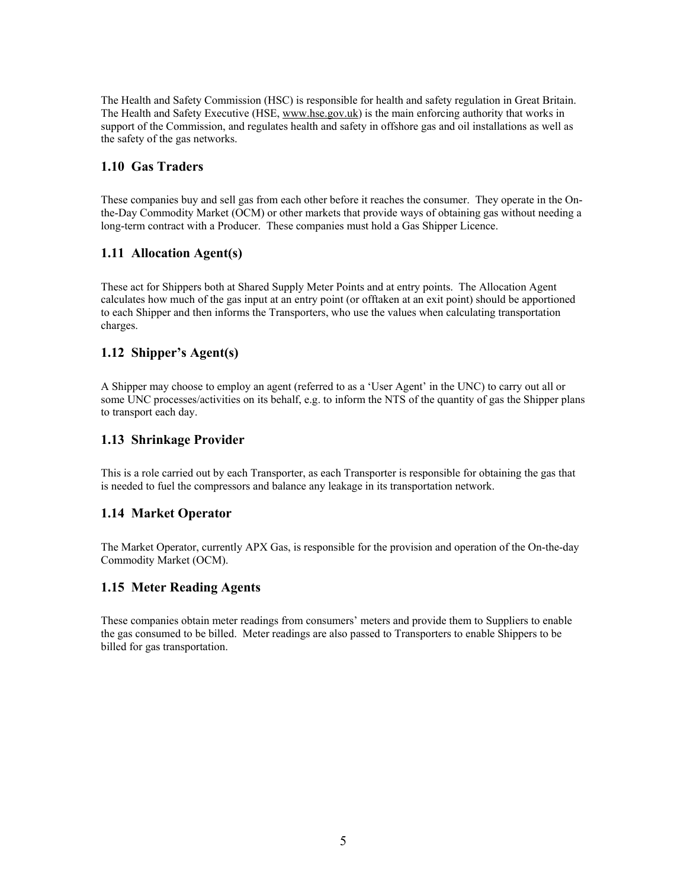<span id="page-4-0"></span>The Health and Safety Commission (HSC) is responsible for health and safety regulation in Great Britain. The Health and Safety Executive (HSE, [www.hse.gov.uk](http://www.hse.gov.uk/)) is the main enforcing authority that works in support of the Commission, and regulates health and safety in offshore gas and oil installations as well as the safety of the gas networks.

# **1.10 Gas Traders**

These companies buy and sell gas from each other before it reaches the consumer. They operate in the Onthe-Day Commodity Market (OCM) or other markets that provide ways of obtaining gas without needing a long-term contract with a Producer. These companies must hold a Gas Shipper Licence.

# **1.11 Allocation Agent(s)**

These act for Shippers both at Shared Supply Meter Points and at entry points. The Allocation Agent calculates how much of the gas input at an entry point (or offtaken at an exit point) should be apportioned to each Shipper and then informs the Transporters, who use the values when calculating transportation charges.

# **1.12 Shipper's Agent(s)**

A Shipper may choose to employ an agent (referred to as a 'User Agent' in the UNC) to carry out all or some UNC processes/activities on its behalf, e.g. to inform the NTS of the quantity of gas the Shipper plans to transport each day.

# **1.13 Shrinkage Provider**

This is a role carried out by each Transporter, as each Transporter is responsible for obtaining the gas that is needed to fuel the compressors and balance any leakage in its transportation network.

# **1.14 Market Operator**

The Market Operator, currently APX Gas, is responsible for the provision and operation of the On-the-day Commodity Market (OCM).

# **1.15 Meter Reading Agents**

These companies obtain meter readings from consumers' meters and provide them to Suppliers to enable the gas consumed to be billed. Meter readings are also passed to Transporters to enable Shippers to be billed for gas transportation.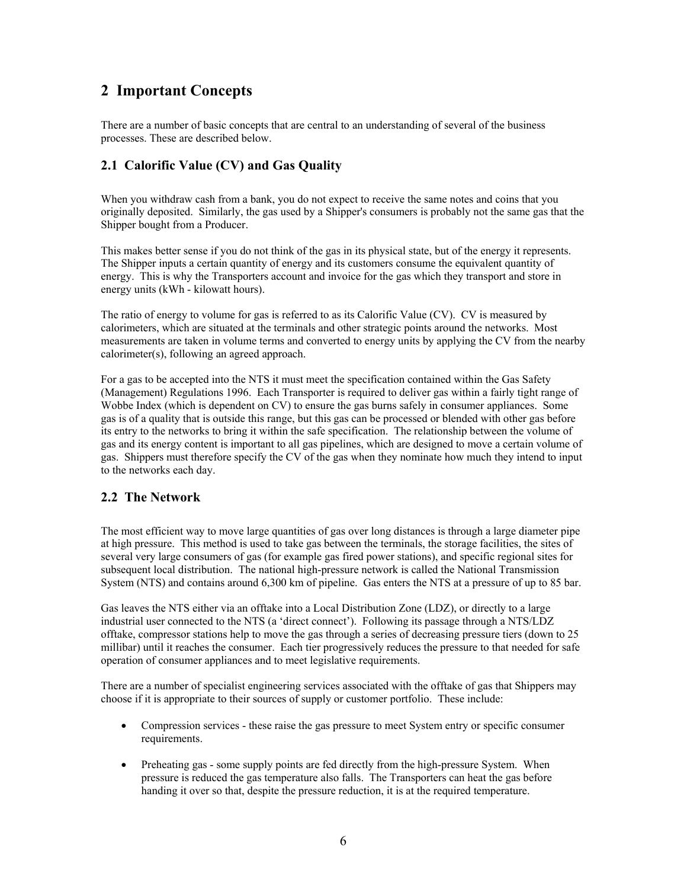# <span id="page-5-0"></span>**2 Important Concepts**

There are a number of basic concepts that are central to an understanding of several of the business processes. These are described below.

# **2.1 Calorific Value (CV) and Gas Quality**

When you withdraw cash from a bank, you do not expect to receive the same notes and coins that you originally deposited. Similarly, the gas used by a Shipper's consumers is probably not the same gas that the Shipper bought from a Producer.

This makes better sense if you do not think of the gas in its physical state, but of the energy it represents. The Shipper inputs a certain quantity of energy and its customers consume the equivalent quantity of energy. This is why the Transporters account and invoice for the gas which they transport and store in energy units (kWh - kilowatt hours).

The ratio of energy to volume for gas is referred to as its Calorific Value (CV). CV is measured by calorimeters, which are situated at the terminals and other strategic points around the networks. Most measurements are taken in volume terms and converted to energy units by applying the CV from the nearby calorimeter(s), following an agreed approach.

For a gas to be accepted into the NTS it must meet the specification contained within the Gas Safety (Management) Regulations 1996. Each Transporter is required to deliver gas within a fairly tight range of Wobbe Index (which is dependent on CV) to ensure the gas burns safely in consumer appliances. Some gas is of a quality that is outside this range, but this gas can be processed or blended with other gas before its entry to the networks to bring it within the safe specification. The relationship between the volume of gas and its energy content is important to all gas pipelines, which are designed to move a certain volume of gas. Shippers must therefore specify the CV of the gas when they nominate how much they intend to input to the networks each day.

# **2.2 The Network**

The most efficient way to move large quantities of gas over long distances is through a large diameter pipe at high pressure. This method is used to take gas between the terminals, the storage facilities, the sites of several very large consumers of gas (for example gas fired power stations), and specific regional sites for subsequent local distribution. The national high-pressure network is called the National Transmission System (NTS) and contains around 6,300 km of pipeline. Gas enters the NTS at a pressure of up to 85 bar.

Gas leaves the NTS either via an offtake into a Local Distribution Zone (LDZ), or directly to a large industrial user connected to the NTS (a 'direct connect'). Following its passage through a NTS/LDZ offtake, compressor stations help to move the gas through a series of decreasing pressure tiers (down to 25 millibar) until it reaches the consumer. Each tier progressively reduces the pressure to that needed for safe operation of consumer appliances and to meet legislative requirements.

There are a number of specialist engineering services associated with the offtake of gas that Shippers may choose if it is appropriate to their sources of supply or customer portfolio. These include:

- Compression services these raise the gas pressure to meet System entry or specific consumer requirements.
- Preheating gas some supply points are fed directly from the high-pressure System. When pressure is reduced the gas temperature also falls. The Transporters can heat the gas before handing it over so that, despite the pressure reduction, it is at the required temperature.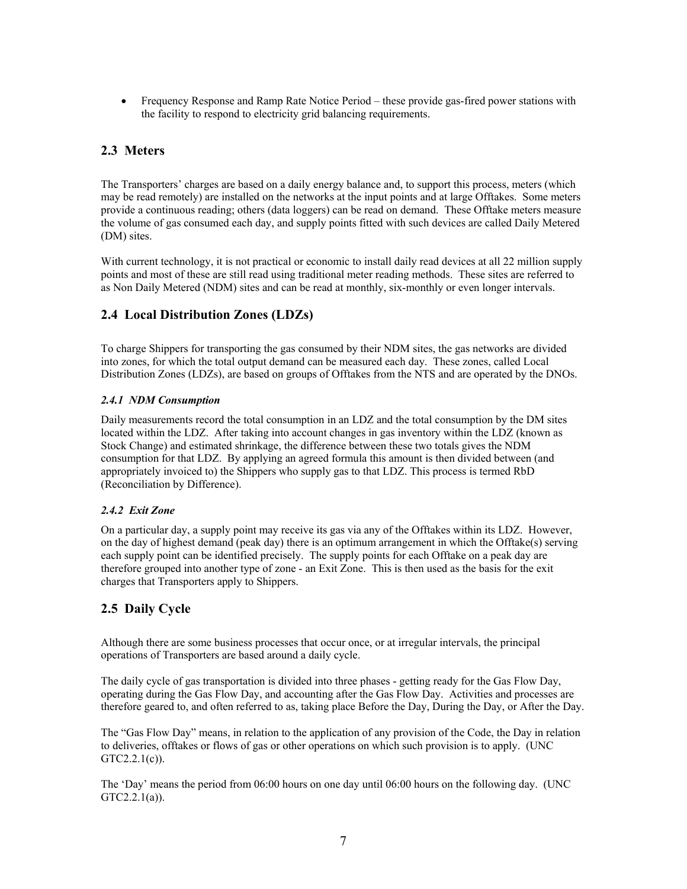<span id="page-6-0"></span>• Frequency Response and Ramp Rate Notice Period – these provide gas-fired power stations with the facility to respond to electricity grid balancing requirements.

# **2.3 Meters**

The Transporters' charges are based on a daily energy balance and, to support this process, meters (which may be read remotely) are installed on the networks at the input points and at large Offtakes. Some meters provide a continuous reading; others (data loggers) can be read on demand. These Offtake meters measure the volume of gas consumed each day, and supply points fitted with such devices are called Daily Metered (DM) sites.

With current technology, it is not practical or economic to install daily read devices at all 22 million supply points and most of these are still read using traditional meter reading methods. These sites are referred to as Non Daily Metered (NDM) sites and can be read at monthly, six-monthly or even longer intervals.

# **2.4 Local Distribution Zones (LDZs)**

To charge Shippers for transporting the gas consumed by their NDM sites, the gas networks are divided into zones, for which the total output demand can be measured each day. These zones, called Local Distribution Zones (LDZs), are based on groups of Offtakes from the NTS and are operated by the DNOs.

### *2.4.1 NDM Consumption*

Daily measurements record the total consumption in an LDZ and the total consumption by the DM sites located within the LDZ. After taking into account changes in gas inventory within the LDZ (known as Stock Change) and estimated shrinkage, the difference between these two totals gives the NDM consumption for that LDZ. By applying an agreed formula this amount is then divided between (and appropriately invoiced to) the Shippers who supply gas to that LDZ. This process is termed RbD (Reconciliation by Difference).

#### *2.4.2 Exit Zone*

On a particular day, a supply point may receive its gas via any of the Offtakes within its LDZ. However, on the day of highest demand (peak day) there is an optimum arrangement in which the Offtake(s) serving each supply point can be identified precisely. The supply points for each Offtake on a peak day are therefore grouped into another type of zone - an Exit Zone. This is then used as the basis for the exit charges that Transporters apply to Shippers.

# **2.5 Daily Cycle**

Although there are some business processes that occur once, or at irregular intervals, the principal operations of Transporters are based around a daily cycle.

The daily cycle of gas transportation is divided into three phases - getting ready for the Gas Flow Day, operating during the Gas Flow Day, and accounting after the Gas Flow Day. Activities and processes are therefore geared to, and often referred to as, taking place Before the Day, During the Day, or After the Day.

The "Gas Flow Day" means, in relation to the application of any provision of the Code, the Day in relation to deliveries, offtakes or flows of gas or other operations on which such provision is to apply. (UNC GTC2.2.1(c)).

The 'Day' means the period from 06:00 hours on one day until 06:00 hours on the following day. (UNC GTC2.2.1(a)).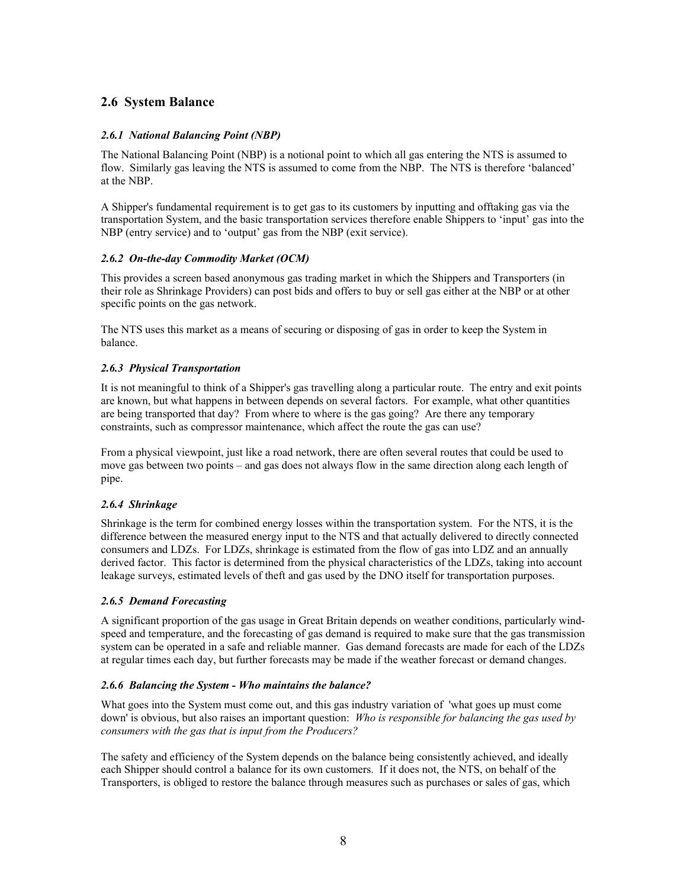# <span id="page-7-0"></span>**2.6 System Balance**

#### *2.6.1 National Balancing Point (NBP)*

The National Balancing Point (NBP) is a notional point to which all gas entering the NTS is assumed to flow. Similarly gas leaving the NTS is assumed to come from the NBP. The NTS is therefore 'balanced' at the NBP.

A Shipper's fundamental requirement is to get gas to its customers by inputting and offtaking gas via the transportation System, and the basic transportation services therefore enable Shippers to 'input' gas into the NBP (entry service) and to 'output' gas from the NBP (exit service).

#### *2.6.2 On-the-day Commodity Market (OCM)*

This provides a screen based anonymous gas trading market in which the Shippers and Transporters (in their role as Shrinkage Providers) can post bids and offers to buy or sell gas either at the NBP or at other specific points on the gas network.

The NTS uses this market as a means of securing or disposing of gas in order to keep the System in balance.

#### *2.6.3 Physical Transportation*

It is not meaningful to think of a Shipper's gas travelling along a particular route. The entry and exit points are known, but what happens in between depends on several factors. For example, what other quantities are being transported that day? From where to where is the gas going? Are there any temporary constraints, such as compressor maintenance, which affect the route the gas can use?

From a physical viewpoint, just like a road network, there are often several routes that could be used to move gas between two points – and gas does not always flow in the same direction along each length of pipe.

#### *2.6.4 Shrinkage*

Shrinkage is the term for combined energy losses within the transportation system. For the NTS, it is the difference between the measured energy input to the NTS and that actually delivered to directly connected consumers and LDZs. For LDZs, shrinkage is estimated from the flow of gas into LDZ and an annually derived factor. This factor is determined from the physical characteristics of the LDZs, taking into account leakage surveys, estimated levels of theft and gas used by the DNO itself for transportation purposes.

#### *2.6.5 Demand Forecasting*

A significant proportion of the gas usage in Great Britain depends on weather conditions, particularly windspeed and temperature, and the forecasting of gas demand is required to make sure that the gas transmission system can be operated in a safe and reliable manner. Gas demand forecasts are made for each of the LDZs at regular times each day, but further forecasts may be made if the weather forecast or demand changes.

#### *2.6.6 Balancing the System - Who maintains the balance?*

What goes into the System must come out, and this gas industry variation of 'what goes up must come down' is obvious, but also raises an important question: *Who is responsible for balancing the gas used by consumers with the gas that is input from the Producers?* 

The safety and efficiency of the System depends on the balance being consistently achieved, and ideally each Shipper should control a balance for its own customers. If it does not, the NTS, on behalf of the Transporters, is obliged to restore the balance through measures such as purchases or sales of gas, which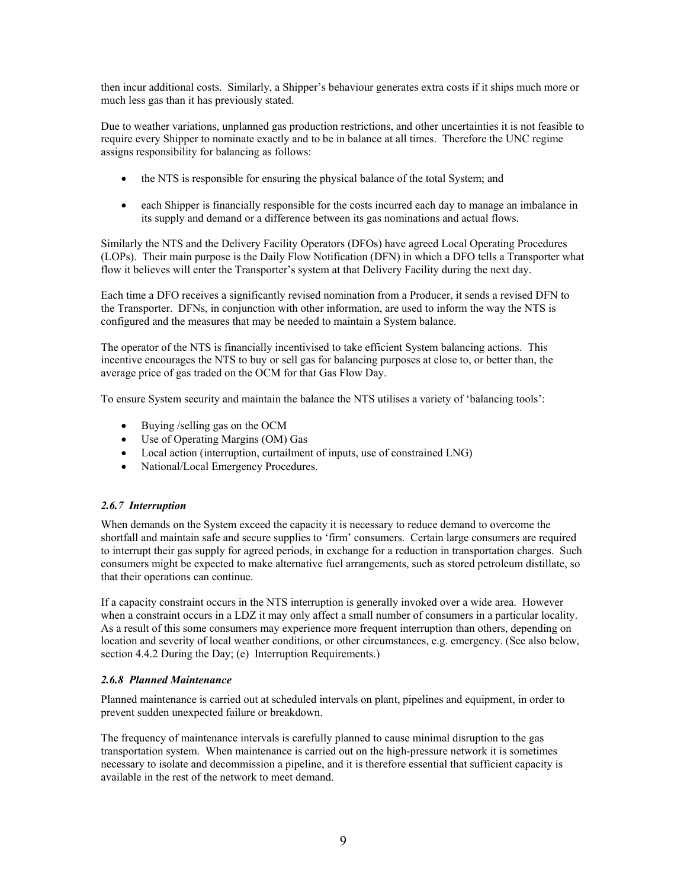then incur additional costs. Similarly, a Shipper's behaviour generates extra costs if it ships much more or much less gas than it has previously stated.

Due to weather variations, unplanned gas production restrictions, and other uncertainties it is not feasible to require every Shipper to nominate exactly and to be in balance at all times. Therefore the UNC regime assigns responsibility for balancing as follows:

- the NTS is responsible for ensuring the physical balance of the total System; and
- each Shipper is financially responsible for the costs incurred each day to manage an imbalance in its supply and demand or a difference between its gas nominations and actual flows.

Similarly the NTS and the Delivery Facility Operators (DFOs) have agreed Local Operating Procedures (LOPs). Their main purpose is the Daily Flow Notification (DFN) in which a DFO tells a Transporter what flow it believes will enter the Transporter's system at that Delivery Facility during the next day.

Each time a DFO receives a significantly revised nomination from a Producer, it sends a revised DFN to the Transporter. DFNs, in conjunction with other information, are used to inform the way the NTS is configured and the measures that may be needed to maintain a System balance.

The operator of the NTS is financially incentivised to take efficient System balancing actions. This incentive encourages the NTS to buy or sell gas for balancing purposes at close to, or better than, the average price of gas traded on the OCM for that Gas Flow Day.

To ensure System security and maintain the balance the NTS utilises a variety of 'balancing tools':

- Buying /selling gas on the OCM
- Use of Operating Margins (OM) Gas
- Local action (interruption, curtailment of inputs, use of constrained LNG)
- National/Local Emergency Procedures.

#### *2.6.7 Interruption*

When demands on the System exceed the capacity it is necessary to reduce demand to overcome the shortfall and maintain safe and secure supplies to 'firm' consumers. Certain large consumers are required to interrupt their gas supply for agreed periods, in exchange for a reduction in transportation charges. Such consumers might be expected to make alternative fuel arrangements, such as stored petroleum distillate, so that their operations can continue.

If a capacity constraint occurs in the NTS interruption is generally invoked over a wide area. However when a constraint occurs in a LDZ it may only affect a small number of consumers in a particular locality. As a result of this some consumers may experience more frequent interruption than others, depending on location and severity of local weather conditions, or other circumstances, e.g. emergency. (See also below, section 4.4.2 During the Day; (e) Interruption Requirements.)

#### *2.6.8 Planned Maintenance*

Planned maintenance is carried out at scheduled intervals on plant, pipelines and equipment, in order to prevent sudden unexpected failure or breakdown.

The frequency of maintenance intervals is carefully planned to cause minimal disruption to the gas transportation system. When maintenance is carried out on the high-pressure network it is sometimes necessary to isolate and decommission a pipeline, and it is therefore essential that sufficient capacity is available in the rest of the network to meet demand.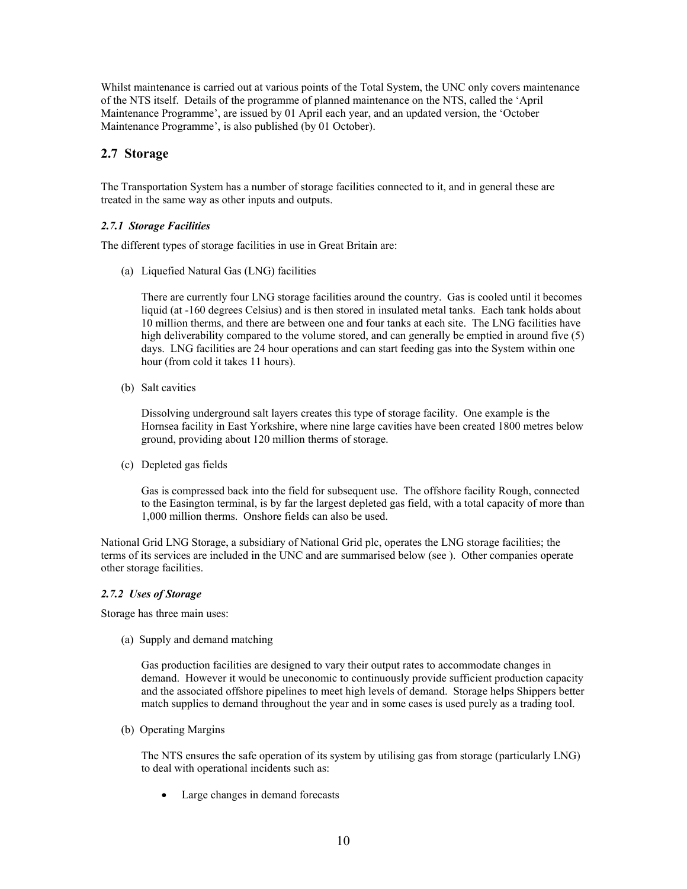<span id="page-9-0"></span>Whilst maintenance is carried out at various points of the Total System, the UNC only covers maintenance of the NTS itself. Details of the programme of planned maintenance on the NTS, called the 'April Maintenance Programme', are issued by 01 April each year, and an updated version, the 'October Maintenance Programme', is also published (by 01 October).

## **2.7 Storage**

The Transportation System has a number of storage facilities connected to it, and in general these are treated in the same way as other inputs and outputs.

#### *2.7.1 Storage Facilities*

The different types of storage facilities in use in Great Britain are:

(a) Liquefied Natural Gas (LNG) facilities

There are currently four LNG storage facilities around the country. Gas is cooled until it becomes liquid (at -160 degrees Celsius) and is then stored in insulated metal tanks. Each tank holds about 10 million therms, and there are between one and four tanks at each site. The LNG facilities have high deliverability compared to the volume stored, and can generally be emptied in around five (5) days. LNG facilities are 24 hour operations and can start feeding gas into the System within one hour (from cold it takes 11 hours).

(b) Salt cavities

Dissolving underground salt layers creates this type of storage facility. One example is the Hornsea facility in East Yorkshire, where nine large cavities have been created 1800 metres below ground, providing about 120 million therms of storage.

(c) Depleted gas fields

Gas is compressed back into the field for subsequent use. The offshore facility Rough, connected to the Easington terminal, is by far the largest depleted gas field, with a total capacity of more than 1,000 million therms. Onshore fields can also be used.

National Grid LNG Storage, a subsidiary of National Grid plc, operates the LNG storage facilities; the terms of its services are included in the UNC and are summarised below (see ). Other companies operate other storage facilities.

#### *2.7.2 Uses of Storage*

Storage has three main uses:

(a) Supply and demand matching

Gas production facilities are designed to vary their output rates to accommodate changes in demand. However it would be uneconomic to continuously provide sufficient production capacity and the associated offshore pipelines to meet high levels of demand. Storage helps Shippers better match supplies to demand throughout the year and in some cases is used purely as a trading tool.

(b) Operating Margins

The NTS ensures the safe operation of its system by utilising gas from storage (particularly LNG) to deal with operational incidents such as:

• Large changes in demand forecasts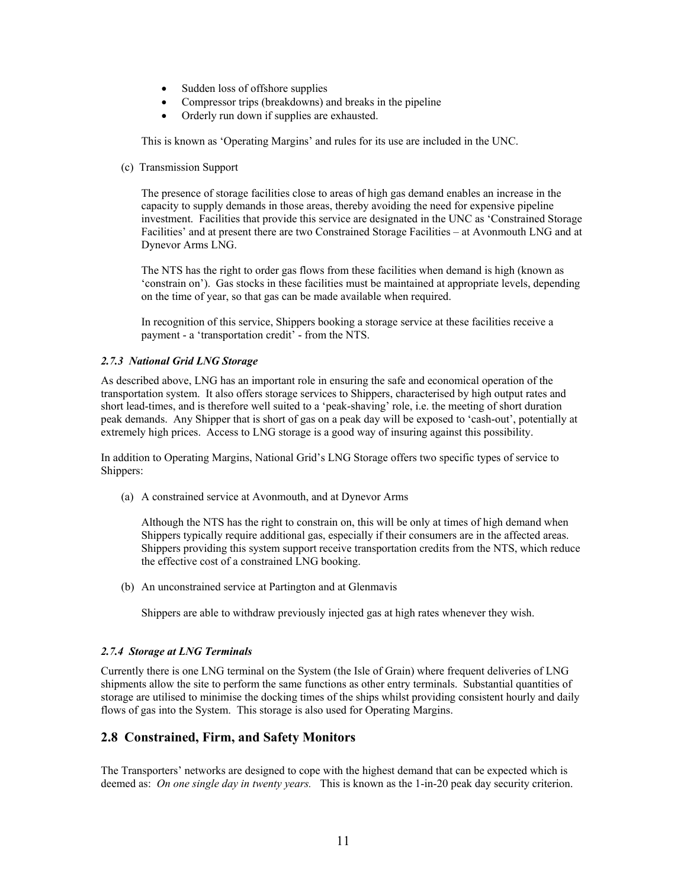- <span id="page-10-0"></span>• Sudden loss of offshore supplies
- Compressor trips (breakdowns) and breaks in the pipeline
- Orderly run down if supplies are exhausted.

This is known as 'Operating Margins' and rules for its use are included in the UNC.

(c) Transmission Support

The presence of storage facilities close to areas of high gas demand enables an increase in the capacity to supply demands in those areas, thereby avoiding the need for expensive pipeline investment. Facilities that provide this service are designated in the UNC as 'Constrained Storage Facilities' and at present there are two Constrained Storage Facilities – at Avonmouth LNG and at Dynevor Arms LNG.

The NTS has the right to order gas flows from these facilities when demand is high (known as 'constrain on'). Gas stocks in these facilities must be maintained at appropriate levels, depending on the time of year, so that gas can be made available when required.

In recognition of this service, Shippers booking a storage service at these facilities receive a payment - a 'transportation credit' - from the NTS.

#### *2.7.3 National Grid LNG Storage*

As described above, LNG has an important role in ensuring the safe and economical operation of the transportation system. It also offers storage services to Shippers, characterised by high output rates and short lead-times, and is therefore well suited to a 'peak-shaving' role, i.e. the meeting of short duration peak demands. Any Shipper that is short of gas on a peak day will be exposed to 'cash-out', potentially at extremely high prices. Access to LNG storage is a good way of insuring against this possibility.

In addition to Operating Margins, National Grid's LNG Storage offers two specific types of service to Shippers:

(a) A constrained service at Avonmouth, and at Dynevor Arms

Although the NTS has the right to constrain on, this will be only at times of high demand when Shippers typically require additional gas, especially if their consumers are in the affected areas. Shippers providing this system support receive transportation credits from the NTS, which reduce the effective cost of a constrained LNG booking.

(b) An unconstrained service at Partington and at Glenmavis

Shippers are able to withdraw previously injected gas at high rates whenever they wish.

#### *2.7.4 Storage at LNG Terminals*

Currently there is one LNG terminal on the System (the Isle of Grain) where frequent deliveries of LNG shipments allow the site to perform the same functions as other entry terminals. Substantial quantities of storage are utilised to minimise the docking times of the ships whilst providing consistent hourly and daily flows of gas into the System. This storage is also used for Operating Margins.

# **2.8 Constrained, Firm, and Safety Monitors**

The Transporters' networks are designed to cope with the highest demand that can be expected which is deemed as: *On one single day in twenty years.* This is known as the 1-in-20 peak day security criterion.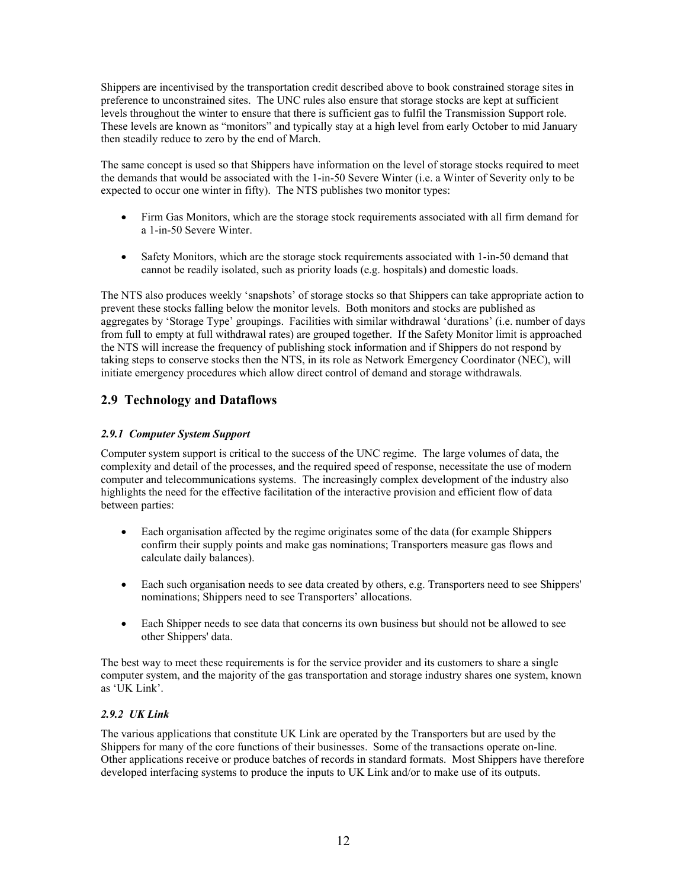<span id="page-11-0"></span>Shippers are incentivised by the transportation credit described above to book constrained storage sites in preference to unconstrained sites. The UNC rules also ensure that storage stocks are kept at sufficient levels throughout the winter to ensure that there is sufficient gas to fulfil the Transmission Support role. These levels are known as "monitors" and typically stay at a high level from early October to mid January then steadily reduce to zero by the end of March.

The same concept is used so that Shippers have information on the level of storage stocks required to meet the demands that would be associated with the 1-in-50 Severe Winter (i.e. a Winter of Severity only to be expected to occur one winter in fifty). The NTS publishes two monitor types:

- Firm Gas Monitors, which are the storage stock requirements associated with all firm demand for a 1-in-50 Severe Winter.
- Safety Monitors, which are the storage stock requirements associated with 1-in-50 demand that cannot be readily isolated, such as priority loads (e.g. hospitals) and domestic loads.

The NTS also produces weekly 'snapshots' of storage stocks so that Shippers can take appropriate action to prevent these stocks falling below the monitor levels. Both monitors and stocks are published as aggregates by 'Storage Type' groupings. Facilities with similar withdrawal 'durations' (i.e. number of days from full to empty at full withdrawal rates) are grouped together. If the Safety Monitor limit is approached the NTS will increase the frequency of publishing stock information and if Shippers do not respond by taking steps to conserve stocks then the NTS, in its role as Network Emergency Coordinator (NEC), will initiate emergency procedures which allow direct control of demand and storage withdrawals.

# **2.9 Technology and Dataflows**

#### *2.9.1 Computer System Support*

Computer system support is critical to the success of the UNC regime. The large volumes of data, the complexity and detail of the processes, and the required speed of response, necessitate the use of modern computer and telecommunications systems. The increasingly complex development of the industry also highlights the need for the effective facilitation of the interactive provision and efficient flow of data between parties:

- Each organisation affected by the regime originates some of the data (for example Shippers confirm their supply points and make gas nominations; Transporters measure gas flows and calculate daily balances).
- Each such organisation needs to see data created by others, e.g. Transporters need to see Shippers' nominations; Shippers need to see Transporters' allocations.
- Each Shipper needs to see data that concerns its own business but should not be allowed to see other Shippers' data.

The best way to meet these requirements is for the service provider and its customers to share a single computer system, and the majority of the gas transportation and storage industry shares one system, known as 'UK Link'.

#### *2.9.2 UK Link*

The various applications that constitute UK Link are operated by the Transporters but are used by the Shippers for many of the core functions of their businesses. Some of the transactions operate on-line. Other applications receive or produce batches of records in standard formats. Most Shippers have therefore developed interfacing systems to produce the inputs to UK Link and/or to make use of its outputs.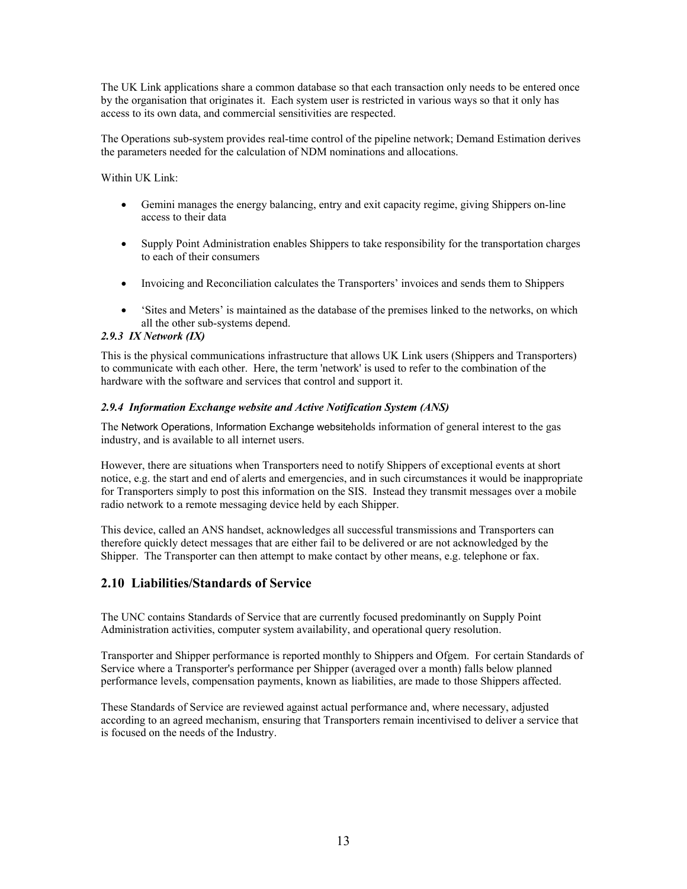<span id="page-12-0"></span>The UK Link applications share a common database so that each transaction only needs to be entered once by the organisation that originates it. Each system user is restricted in various ways so that it only has access to its own data, and commercial sensitivities are respected.

The Operations sub-system provides real-time control of the pipeline network; Demand Estimation derives the parameters needed for the calculation of NDM nominations and allocations.

Within UK Link:

- Gemini manages the energy balancing, entry and exit capacity regime, giving Shippers on-line access to their data
- Supply Point Administration enables Shippers to take responsibility for the transportation charges to each of their consumers
- Invoicing and Reconciliation calculates the Transporters' invoices and sends them to Shippers
- 'Sites and Meters' is maintained as the database of the premises linked to the networks, on which all the other sub-systems depend.

#### *2.9.3 IX Network (IX)*

This is the physical communications infrastructure that allows UK Link users (Shippers and Transporters) to communicate with each other. Here, the term 'network' is used to refer to the combination of the hardware with the software and services that control and support it.

#### *2.9.4 Information Exchange website and Active Notification System (ANS)*

The Network Operations, Information Exchange websiteholds information of general interest to the gas industry, and is available to all internet users.

However, there are situations when Transporters need to notify Shippers of exceptional events at short notice, e.g. the start and end of alerts and emergencies, and in such circumstances it would be inappropriate for Transporters simply to post this information on the SIS. Instead they transmit messages over a mobile radio network to a remote messaging device held by each Shipper.

This device, called an ANS handset, acknowledges all successful transmissions and Transporters can therefore quickly detect messages that are either fail to be delivered or are not acknowledged by the Shipper. The Transporter can then attempt to make contact by other means, e.g. telephone or fax.

# **2.10 Liabilities/Standards of Service**

The UNC contains Standards of Service that are currently focused predominantly on Supply Point Administration activities, computer system availability, and operational query resolution.

Transporter and Shipper performance is reported monthly to Shippers and Ofgem. For certain Standards of Service where a Transporter's performance per Shipper (averaged over a month) falls below planned performance levels, compensation payments, known as liabilities, are made to those Shippers affected.

These Standards of Service are reviewed against actual performance and, where necessary, adjusted according to an agreed mechanism, ensuring that Transporters remain incentivised to deliver a service that is focused on the needs of the Industry.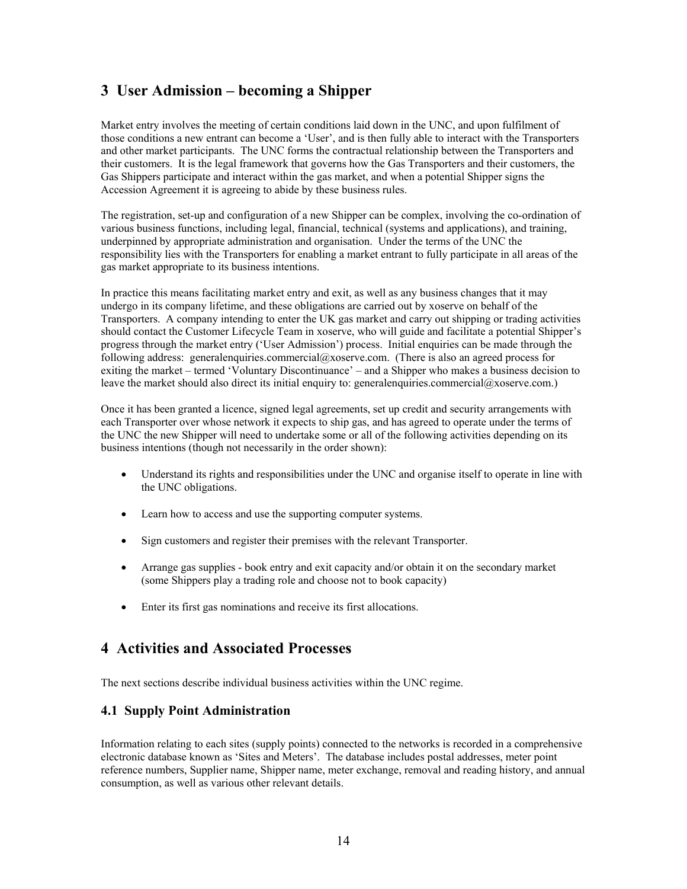# <span id="page-13-0"></span>**3 User Admission – becoming a Shipper**

Market entry involves the meeting of certain conditions laid down in the UNC, and upon fulfilment of those conditions a new entrant can become a 'User', and is then fully able to interact with the Transporters and other market participants. The UNC forms the contractual relationship between the Transporters and their customers. It is the legal framework that governs how the Gas Transporters and their customers, the Gas Shippers participate and interact within the gas market, and when a potential Shipper signs the Accession Agreement it is agreeing to abide by these business rules.

The registration, set-up and configuration of a new Shipper can be complex, involving the co-ordination of various business functions, including legal, financial, technical (systems and applications), and training, underpinned by appropriate administration and organisation. Under the terms of the UNC the responsibility lies with the Transporters for enabling a market entrant to fully participate in all areas of the gas market appropriate to its business intentions.

In practice this means facilitating market entry and exit, as well as any business changes that it may undergo in its company lifetime, and these obligations are carried out by xoserve on behalf of the Transporters. A company intending to enter the UK gas market and carry out shipping or trading activities should contact the Customer Lifecycle Team in xoserve, who will guide and facilitate a potential Shipper's progress through the market entry ('User Admission') process. Initial enquiries can be made through the following address: generalenquiries.commercial@xoserve.com. (There is also an agreed process for exiting the market – termed 'Voluntary Discontinuance' – and a Shipper who makes a business decision to leave the market should also direct its initial enquiry to: generalenquiries.commercial@xoserve.com.)

Once it has been granted a licence, signed legal agreements, set up credit and security arrangements with each Transporter over whose network it expects to ship gas, and has agreed to operate under the terms of the UNC the new Shipper will need to undertake some or all of the following activities depending on its business intentions (though not necessarily in the order shown):

- Understand its rights and responsibilities under the UNC and organise itself to operate in line with the UNC obligations.
- Learn how to access and use the supporting computer systems.
- Sign customers and register their premises with the relevant Transporter.
- Arrange gas supplies book entry and exit capacity and/or obtain it on the secondary market (some Shippers play a trading role and choose not to book capacity)
- Enter its first gas nominations and receive its first allocations.

# **4 Activities and Associated Processes**

The next sections describe individual business activities within the UNC regime.

### **4.1 Supply Point Administration**

Information relating to each sites (supply points) connected to the networks is recorded in a comprehensive electronic database known as 'Sites and Meters'. The database includes postal addresses, meter point reference numbers, Supplier name, Shipper name, meter exchange, removal and reading history, and annual consumption, as well as various other relevant details.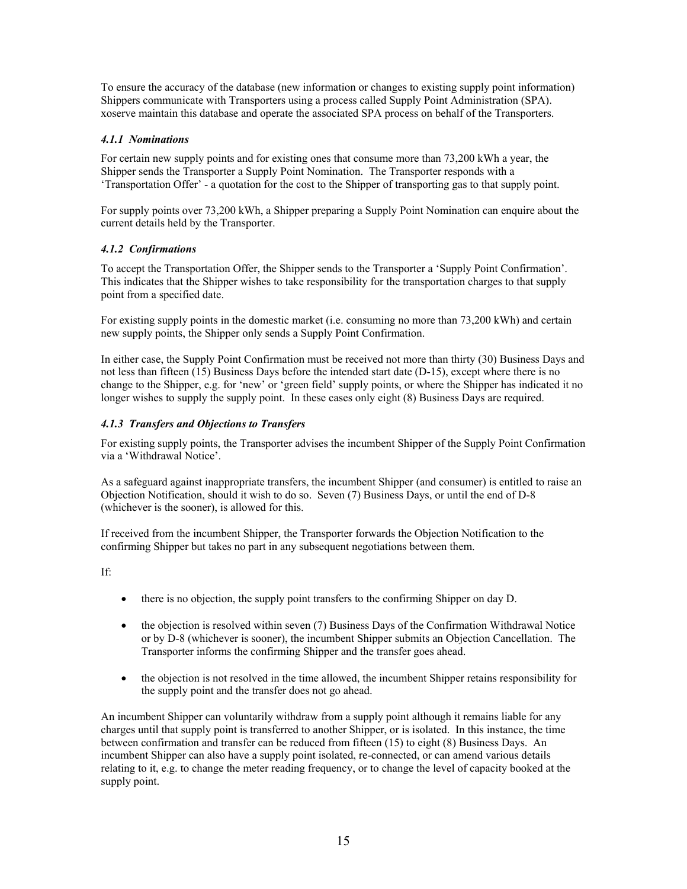To ensure the accuracy of the database (new information or changes to existing supply point information) Shippers communicate with Transporters using a process called Supply Point Administration (SPA). xoserve maintain this database and operate the associated SPA process on behalf of the Transporters.

#### *4.1.1 Nominations*

For certain new supply points and for existing ones that consume more than 73,200 kWh a year, the Shipper sends the Transporter a Supply Point Nomination. The Transporter responds with a 'Transportation Offer' - a quotation for the cost to the Shipper of transporting gas to that supply point.

For supply points over 73,200 kWh, a Shipper preparing a Supply Point Nomination can enquire about the current details held by the Transporter.

#### *4.1.2 Confirmations*

To accept the Transportation Offer, the Shipper sends to the Transporter a 'Supply Point Confirmation'. This indicates that the Shipper wishes to take responsibility for the transportation charges to that supply point from a specified date.

For existing supply points in the domestic market (i.e. consuming no more than 73,200 kWh) and certain new supply points, the Shipper only sends a Supply Point Confirmation.

In either case, the Supply Point Confirmation must be received not more than thirty (30) Business Days and not less than fifteen (15) Business Days before the intended start date (D-15), except where there is no change to the Shipper, e.g. for 'new' or 'green field' supply points, or where the Shipper has indicated it no longer wishes to supply the supply point. In these cases only eight  $(8)$  Business Days are required.

#### *4.1.3 Transfers and Objections to Transfers*

For existing supply points, the Transporter advises the incumbent Shipper of the Supply Point Confirmation via a 'Withdrawal Notice'.

As a safeguard against inappropriate transfers, the incumbent Shipper (and consumer) is entitled to raise an Objection Notification, should it wish to do so. Seven (7) Business Days, or until the end of D-8 (whichever is the sooner), is allowed for this.

If received from the incumbent Shipper, the Transporter forwards the Objection Notification to the confirming Shipper but takes no part in any subsequent negotiations between them.

If:

- there is no objection, the supply point transfers to the confirming Shipper on day D.
- the objection is resolved within seven (7) Business Days of the Confirmation Withdrawal Notice or by D-8 (whichever is sooner), the incumbent Shipper submits an Objection Cancellation. The Transporter informs the confirming Shipper and the transfer goes ahead.
- the objection is not resolved in the time allowed, the incumbent Shipper retains responsibility for the supply point and the transfer does not go ahead.

An incumbent Shipper can voluntarily withdraw from a supply point although it remains liable for any charges until that supply point is transferred to another Shipper, or is isolated. In this instance, the time between confirmation and transfer can be reduced from fifteen (15) to eight (8) Business Days. An incumbent Shipper can also have a supply point isolated, re-connected, or can amend various details relating to it, e.g. to change the meter reading frequency, or to change the level of capacity booked at the supply point.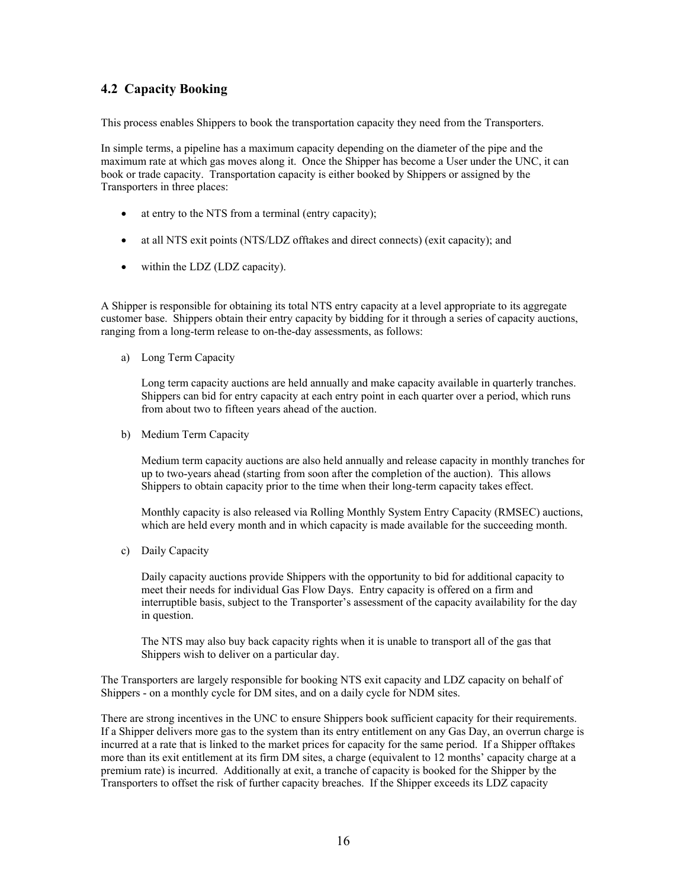# <span id="page-15-0"></span>**4.2 Capacity Booking**

This process enables Shippers to book the transportation capacity they need from the Transporters.

In simple terms, a pipeline has a maximum capacity depending on the diameter of the pipe and the maximum rate at which gas moves along it. Once the Shipper has become a User under the UNC, it can book or trade capacity. Transportation capacity is either booked by Shippers or assigned by the Transporters in three places:

- at entry to the NTS from a terminal (entry capacity);
- at all NTS exit points (NTS/LDZ offtakes and direct connects) (exit capacity); and
- within the LDZ (LDZ capacity).

A Shipper is responsible for obtaining its total NTS entry capacity at a level appropriate to its aggregate customer base. Shippers obtain their entry capacity by bidding for it through a series of capacity auctions, ranging from a long-term release to on-the-day assessments, as follows:

a) Long Term Capacity

Long term capacity auctions are held annually and make capacity available in quarterly tranches. Shippers can bid for entry capacity at each entry point in each quarter over a period, which runs from about two to fifteen years ahead of the auction.

b) Medium Term Capacity

Medium term capacity auctions are also held annually and release capacity in monthly tranches for up to two-years ahead (starting from soon after the completion of the auction). This allows Shippers to obtain capacity prior to the time when their long-term capacity takes effect.

Monthly capacity is also released via Rolling Monthly System Entry Capacity (RMSEC) auctions, which are held every month and in which capacity is made available for the succeeding month.

c) Daily Capacity

Daily capacity auctions provide Shippers with the opportunity to bid for additional capacity to meet their needs for individual Gas Flow Days. Entry capacity is offered on a firm and interruptible basis, subject to the Transporter's assessment of the capacity availability for the day in question.

The NTS may also buy back capacity rights when it is unable to transport all of the gas that Shippers wish to deliver on a particular day.

The Transporters are largely responsible for booking NTS exit capacity and LDZ capacity on behalf of Shippers - on a monthly cycle for DM sites, and on a daily cycle for NDM sites.

There are strong incentives in the UNC to ensure Shippers book sufficient capacity for their requirements. If a Shipper delivers more gas to the system than its entry entitlement on any Gas Day, an overrun charge is incurred at a rate that is linked to the market prices for capacity for the same period. If a Shipper offtakes more than its exit entitlement at its firm DM sites, a charge (equivalent to 12 months' capacity charge at a premium rate) is incurred. Additionally at exit, a tranche of capacity is booked for the Shipper by the Transporters to offset the risk of further capacity breaches. If the Shipper exceeds its LDZ capacity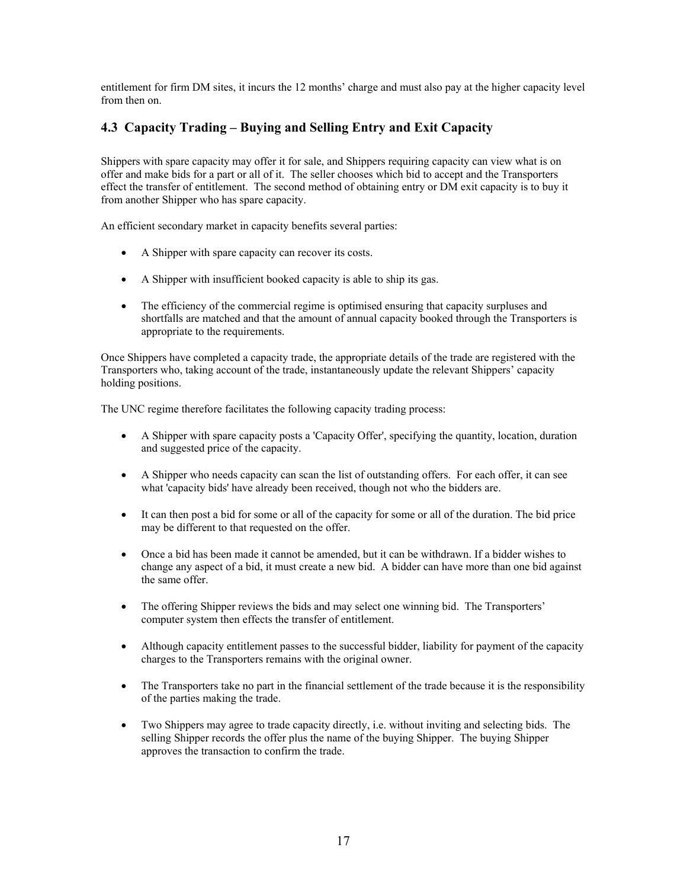<span id="page-16-0"></span>entitlement for firm DM sites, it incurs the 12 months' charge and must also pay at the higher capacity level from then on.

# **4.3 Capacity Trading – Buying and Selling Entry and Exit Capacity**

Shippers with spare capacity may offer it for sale, and Shippers requiring capacity can view what is on offer and make bids for a part or all of it. The seller chooses which bid to accept and the Transporters effect the transfer of entitlement. The second method of obtaining entry or DM exit capacity is to buy it from another Shipper who has spare capacity.

An efficient secondary market in capacity benefits several parties:

- A Shipper with spare capacity can recover its costs.
- A Shipper with insufficient booked capacity is able to ship its gas.
- The efficiency of the commercial regime is optimised ensuring that capacity surpluses and shortfalls are matched and that the amount of annual capacity booked through the Transporters is appropriate to the requirements.

Once Shippers have completed a capacity trade, the appropriate details of the trade are registered with the Transporters who, taking account of the trade, instantaneously update the relevant Shippers' capacity holding positions.

The UNC regime therefore facilitates the following capacity trading process:

- A Shipper with spare capacity posts a 'Capacity Offer', specifying the quantity, location, duration and suggested price of the capacity.
- A Shipper who needs capacity can scan the list of outstanding offers. For each offer, it can see what 'capacity bids' have already been received, though not who the bidders are.
- It can then post a bid for some or all of the capacity for some or all of the duration. The bid price may be different to that requested on the offer.
- Once a bid has been made it cannot be amended, but it can be withdrawn. If a bidder wishes to change any aspect of a bid, it must create a new bid. A bidder can have more than one bid against the same offer.
- The offering Shipper reviews the bids and may select one winning bid. The Transporters' computer system then effects the transfer of entitlement.
- Although capacity entitlement passes to the successful bidder, liability for payment of the capacity charges to the Transporters remains with the original owner.
- The Transporters take no part in the financial settlement of the trade because it is the responsibility of the parties making the trade.
- Two Shippers may agree to trade capacity directly, i.e. without inviting and selecting bids. The selling Shipper records the offer plus the name of the buying Shipper. The buying Shipper approves the transaction to confirm the trade.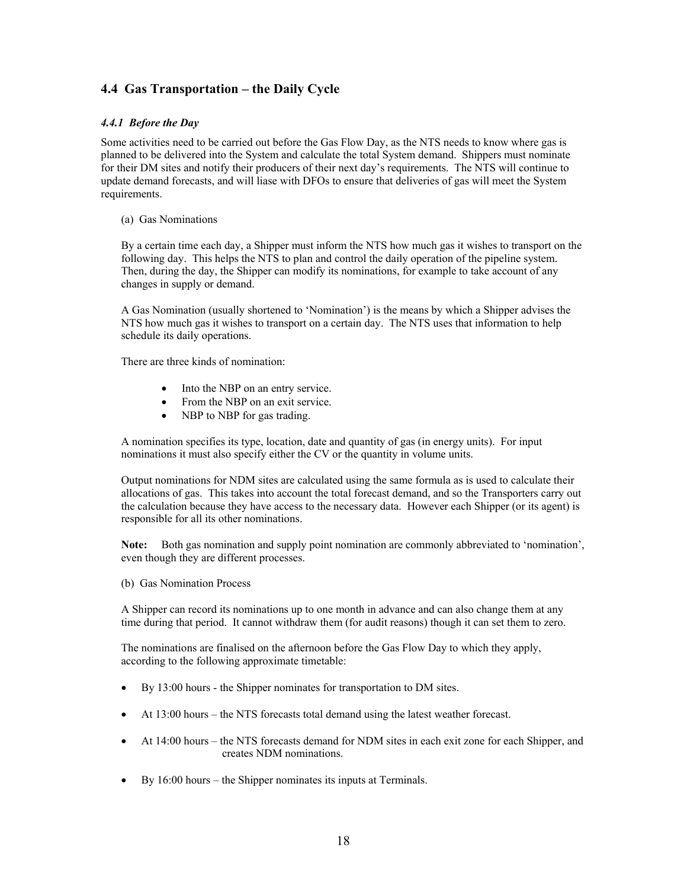# <span id="page-17-0"></span>**4.4 Gas Transportation – the Daily Cycle**

#### *4.4.1 Before the Day*

Some activities need to be carried out before the Gas Flow Day, as the NTS needs to know where gas is planned to be delivered into the System and calculate the total System demand. Shippers must nominate for their DM sites and notify their producers of their next day's requirements. The NTS will continue to update demand forecasts, and will liase with DFOs to ensure that deliveries of gas will meet the System requirements.

(a) Gas Nominations

By a certain time each day, a Shipper must inform the NTS how much gas it wishes to transport on the following day. This helps the NTS to plan and control the daily operation of the pipeline system. Then, during the day, the Shipper can modify its nominations, for example to take account of any changes in supply or demand.

A Gas Nomination (usually shortened to 'Nomination') is the means by which a Shipper advises the NTS how much gas it wishes to transport on a certain day. The NTS uses that information to help schedule its daily operations.

There are three kinds of nomination:

- Into the NBP on an entry service.
- From the NBP on an exit service.
- NBP to NBP for gas trading.

A nomination specifies its type, location, date and quantity of gas (in energy units). For input nominations it must also specify either the CV or the quantity in volume units.

Output nominations for NDM sites are calculated using the same formula as is used to calculate their allocations of gas. This takes into account the total forecast demand, and so the Transporters carry out the calculation because they have access to the necessary data. However each Shipper (or its agent) is responsible for all its other nominations.

**Note:** Both gas nomination and supply point nomination are commonly abbreviated to 'nomination', even though they are different processes.

(b) Gas Nomination Process

A Shipper can record its nominations up to one month in advance and can also change them at any time during that period. It cannot withdraw them (for audit reasons) though it can set them to zero.

The nominations are finalised on the afternoon before the Gas Flow Day to which they apply, according to the following approximate timetable:

- By 13:00 hours the Shipper nominates for transportation to DM sites.
- At 13:00 hours the NTS forecasts total demand using the latest weather forecast.
- At 14:00 hours the NTS forecasts demand for NDM sites in each exit zone for each Shipper, and creates NDM nominations.
- By 16:00 hours the Shipper nominates its inputs at Terminals.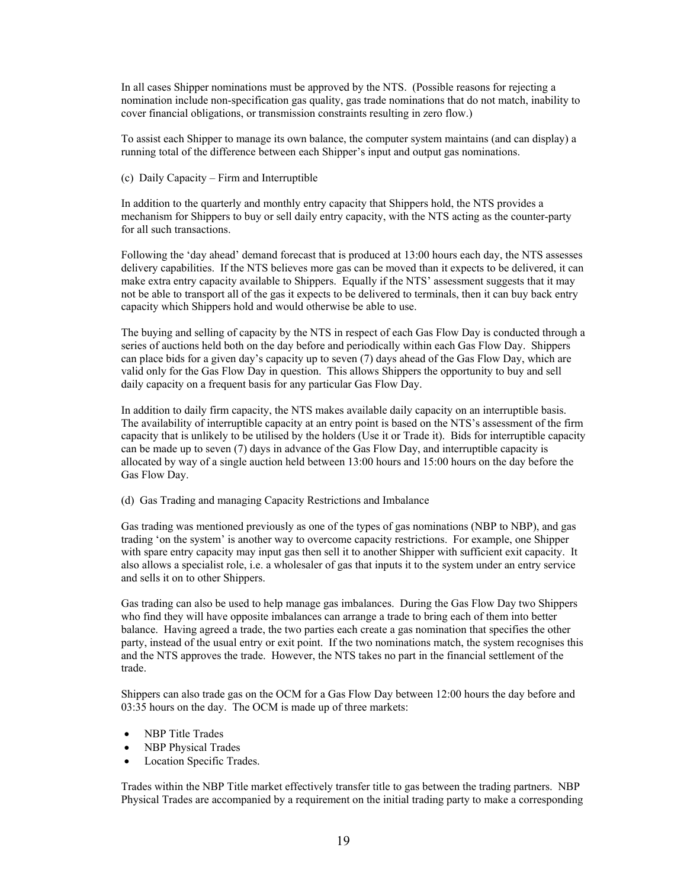In all cases Shipper nominations must be approved by the NTS. (Possible reasons for rejecting a nomination include non-specification gas quality, gas trade nominations that do not match, inability to cover financial obligations, or transmission constraints resulting in zero flow.)

To assist each Shipper to manage its own balance, the computer system maintains (and can display) a running total of the difference between each Shipper's input and output gas nominations.

(c) Daily Capacity – Firm and Interruptible

In addition to the quarterly and monthly entry capacity that Shippers hold, the NTS provides a mechanism for Shippers to buy or sell daily entry capacity, with the NTS acting as the counter-party for all such transactions.

Following the 'day ahead' demand forecast that is produced at 13:00 hours each day, the NTS assesses delivery capabilities. If the NTS believes more gas can be moved than it expects to be delivered, it can make extra entry capacity available to Shippers. Equally if the NTS' assessment suggests that it may not be able to transport all of the gas it expects to be delivered to terminals, then it can buy back entry capacity which Shippers hold and would otherwise be able to use.

The buying and selling of capacity by the NTS in respect of each Gas Flow Day is conducted through a series of auctions held both on the day before and periodically within each Gas Flow Day. Shippers can place bids for a given day's capacity up to seven (7) days ahead of the Gas Flow Day, which are valid only for the Gas Flow Day in question. This allows Shippers the opportunity to buy and sell daily capacity on a frequent basis for any particular Gas Flow Day.

In addition to daily firm capacity, the NTS makes available daily capacity on an interruptible basis. The availability of interruptible capacity at an entry point is based on the NTS's assessment of the firm capacity that is unlikely to be utilised by the holders (Use it or Trade it). Bids for interruptible capacity can be made up to seven (7) days in advance of the Gas Flow Day, and interruptible capacity is allocated by way of a single auction held between 13:00 hours and 15:00 hours on the day before the Gas Flow Day.

(d) Gas Trading and managing Capacity Restrictions and Imbalance

Gas trading was mentioned previously as one of the types of gas nominations (NBP to NBP), and gas trading 'on the system' is another way to overcome capacity restrictions. For example, one Shipper with spare entry capacity may input gas then sell it to another Shipper with sufficient exit capacity. It also allows a specialist role, i.e. a wholesaler of gas that inputs it to the system under an entry service and sells it on to other Shippers.

Gas trading can also be used to help manage gas imbalances. During the Gas Flow Day two Shippers who find they will have opposite imbalances can arrange a trade to bring each of them into better balance. Having agreed a trade, the two parties each create a gas nomination that specifies the other party, instead of the usual entry or exit point. If the two nominations match, the system recognises this and the NTS approves the trade. However, the NTS takes no part in the financial settlement of the trade.

Shippers can also trade gas on the OCM for a Gas Flow Day between 12:00 hours the day before and 03:35 hours on the day. The OCM is made up of three markets:

- NBP Title Trades
- NBP Physical Trades
- Location Specific Trades.

Trades within the NBP Title market effectively transfer title to gas between the trading partners. NBP Physical Trades are accompanied by a requirement on the initial trading party to make a corresponding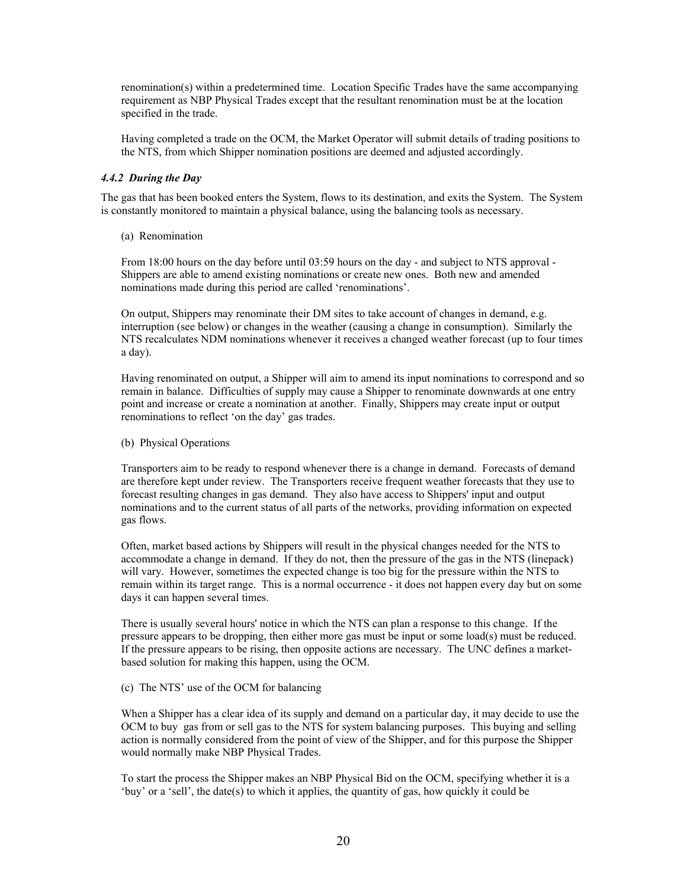renomination(s) within a predetermined time. Location Specific Trades have the same accompanying requirement as NBP Physical Trades except that the resultant renomination must be at the location specified in the trade.

Having completed a trade on the OCM, the Market Operator will submit details of trading positions to the NTS, from which Shipper nomination positions are deemed and adjusted accordingly.

#### *4.4.2 During the Day*

The gas that has been booked enters the System, flows to its destination, and exits the System. The System is constantly monitored to maintain a physical balance, using the balancing tools as necessary.

(a) Renomination

From 18:00 hours on the day before until 03:59 hours on the day - and subject to NTS approval - Shippers are able to amend existing nominations or create new ones. Both new and amended nominations made during this period are called 'renominations'.

On output, Shippers may renominate their DM sites to take account of changes in demand, e.g. interruption (see below) or changes in the weather (causing a change in consumption). Similarly the NTS recalculates NDM nominations whenever it receives a changed weather forecast (up to four times a day).

Having renominated on output, a Shipper will aim to amend its input nominations to correspond and so remain in balance. Difficulties of supply may cause a Shipper to renominate downwards at one entry point and increase or create a nomination at another. Finally, Shippers may create input or output renominations to reflect 'on the day' gas trades.

#### (b) Physical Operations

Transporters aim to be ready to respond whenever there is a change in demand. Forecasts of demand are therefore kept under review. The Transporters receive frequent weather forecasts that they use to forecast resulting changes in gas demand. They also have access to Shippers' input and output nominations and to the current status of all parts of the networks, providing information on expected gas flows.

Often, market based actions by Shippers will result in the physical changes needed for the NTS to accommodate a change in demand. If they do not, then the pressure of the gas in the NTS (linepack) will vary. However, sometimes the expected change is too big for the pressure within the NTS to remain within its target range. This is a normal occurrence - it does not happen every day but on some days it can happen several times.

There is usually several hours' notice in which the NTS can plan a response to this change. If the pressure appears to be dropping, then either more gas must be input or some load(s) must be reduced. If the pressure appears to be rising, then opposite actions are necessary. The UNC defines a marketbased solution for making this happen, using the OCM.

#### (c) The NTS' use of the OCM for balancing

When a Shipper has a clear idea of its supply and demand on a particular day, it may decide to use the OCM to buy gas from or sell gas to the NTS for system balancing purposes. This buying and selling action is normally considered from the point of view of the Shipper, and for this purpose the Shipper would normally make NBP Physical Trades.

To start the process the Shipper makes an NBP Physical Bid on the OCM, specifying whether it is a 'buy' or a 'sell', the date(s) to which it applies, the quantity of gas, how quickly it could be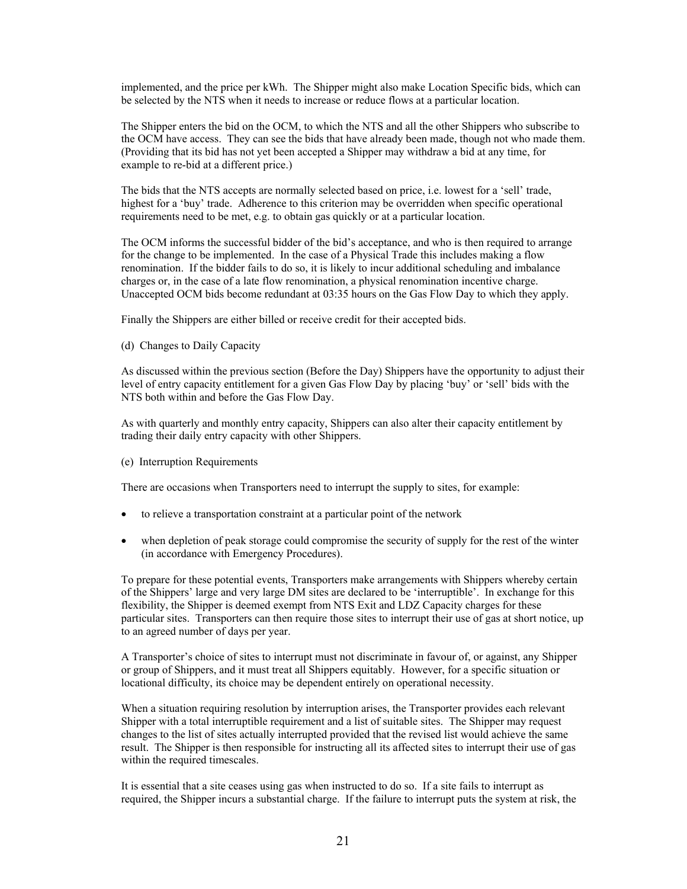implemented, and the price per kWh. The Shipper might also make Location Specific bids, which can be selected by the NTS when it needs to increase or reduce flows at a particular location.

The Shipper enters the bid on the OCM, to which the NTS and all the other Shippers who subscribe to the OCM have access. They can see the bids that have already been made, though not who made them. (Providing that its bid has not yet been accepted a Shipper may withdraw a bid at any time, for example to re-bid at a different price.)

The bids that the NTS accepts are normally selected based on price, i.e. lowest for a 'sell' trade, highest for a 'buy' trade. Adherence to this criterion may be overridden when specific operational requirements need to be met, e.g. to obtain gas quickly or at a particular location.

The OCM informs the successful bidder of the bid's acceptance, and who is then required to arrange for the change to be implemented. In the case of a Physical Trade this includes making a flow renomination. If the bidder fails to do so, it is likely to incur additional scheduling and imbalance charges or, in the case of a late flow renomination, a physical renomination incentive charge. Unaccepted OCM bids become redundant at 03:35 hours on the Gas Flow Day to which they apply.

Finally the Shippers are either billed or receive credit for their accepted bids.

(d) Changes to Daily Capacity

As discussed within the previous section (Before the Day) Shippers have the opportunity to adjust their level of entry capacity entitlement for a given Gas Flow Day by placing 'buy' or 'sell' bids with the NTS both within and before the Gas Flow Day.

As with quarterly and monthly entry capacity, Shippers can also alter their capacity entitlement by trading their daily entry capacity with other Shippers.

(e) Interruption Requirements

There are occasions when Transporters need to interrupt the supply to sites, for example:

- to relieve a transportation constraint at a particular point of the network
- when depletion of peak storage could compromise the security of supply for the rest of the winter (in accordance with Emergency Procedures).

To prepare for these potential events, Transporters make arrangements with Shippers whereby certain of the Shippers' large and very large DM sites are declared to be 'interruptible'. In exchange for this flexibility, the Shipper is deemed exempt from NTS Exit and LDZ Capacity charges for these particular sites. Transporters can then require those sites to interrupt their use of gas at short notice, up to an agreed number of days per year.

A Transporter's choice of sites to interrupt must not discriminate in favour of, or against, any Shipper or group of Shippers, and it must treat all Shippers equitably. However, for a specific situation or locational difficulty, its choice may be dependent entirely on operational necessity.

When a situation requiring resolution by interruption arises, the Transporter provides each relevant Shipper with a total interruptible requirement and a list of suitable sites. The Shipper may request changes to the list of sites actually interrupted provided that the revised list would achieve the same result. The Shipper is then responsible for instructing all its affected sites to interrupt their use of gas within the required timescales.

It is essential that a site ceases using gas when instructed to do so. If a site fails to interrupt as required, the Shipper incurs a substantial charge. If the failure to interrupt puts the system at risk, the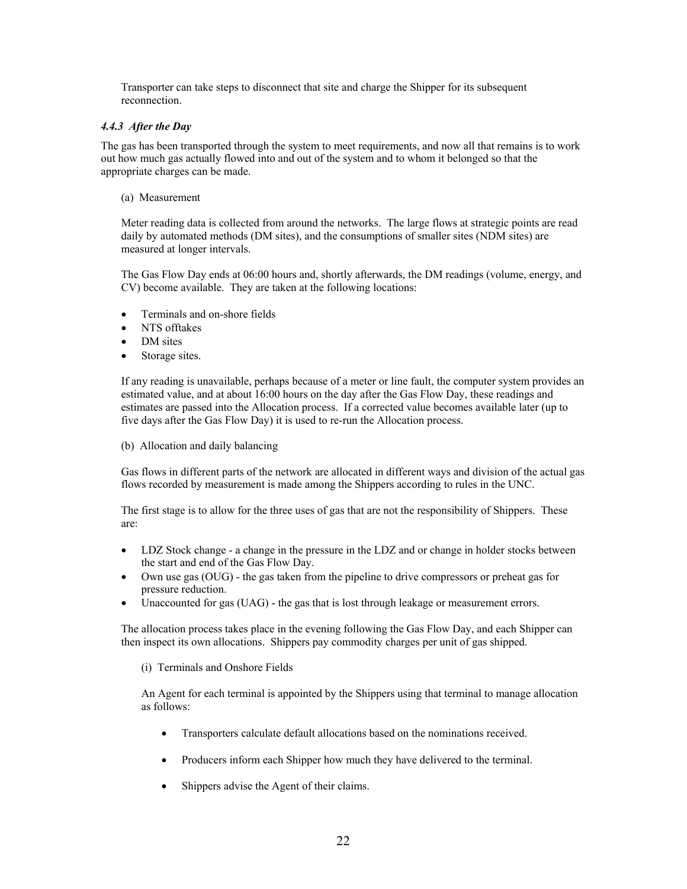Transporter can take steps to disconnect that site and charge the Shipper for its subsequent reconnection.

#### *4.4.3 After the Day*

The gas has been transported through the system to meet requirements, and now all that remains is to work out how much gas actually flowed into and out of the system and to whom it belonged so that the appropriate charges can be made.

(a) Measurement

Meter reading data is collected from around the networks. The large flows at strategic points are read daily by automated methods (DM sites), and the consumptions of smaller sites (NDM sites) are measured at longer intervals.

The Gas Flow Day ends at 06:00 hours and, shortly afterwards, the DM readings (volume, energy, and CV) become available. They are taken at the following locations:

- Terminals and on-shore fields
- NTS offtakes
- DM sites
- Storage sites.

If any reading is unavailable, perhaps because of a meter or line fault, the computer system provides an estimated value, and at about 16:00 hours on the day after the Gas Flow Day, these readings and estimates are passed into the Allocation process. If a corrected value becomes available later (up to five days after the Gas Flow Day) it is used to re-run the Allocation process.

(b) Allocation and daily balancing

Gas flows in different parts of the network are allocated in different ways and division of the actual gas flows recorded by measurement is made among the Shippers according to rules in the UNC.

The first stage is to allow for the three uses of gas that are not the responsibility of Shippers. These are:

- LDZ Stock change a change in the pressure in the LDZ and or change in holder stocks between the start and end of the Gas Flow Day.
- Own use gas (OUG) the gas taken from the pipeline to drive compressors or preheat gas for pressure reduction.
- Unaccounted for gas (UAG) the gas that is lost through leakage or measurement errors.

The allocation process takes place in the evening following the Gas Flow Day, and each Shipper can then inspect its own allocations. Shippers pay commodity charges per unit of gas shipped.

(i) Terminals and Onshore Fields

An Agent for each terminal is appointed by the Shippers using that terminal to manage allocation as follows:

- Transporters calculate default allocations based on the nominations received.
- Producers inform each Shipper how much they have delivered to the terminal.
- Shippers advise the Agent of their claims.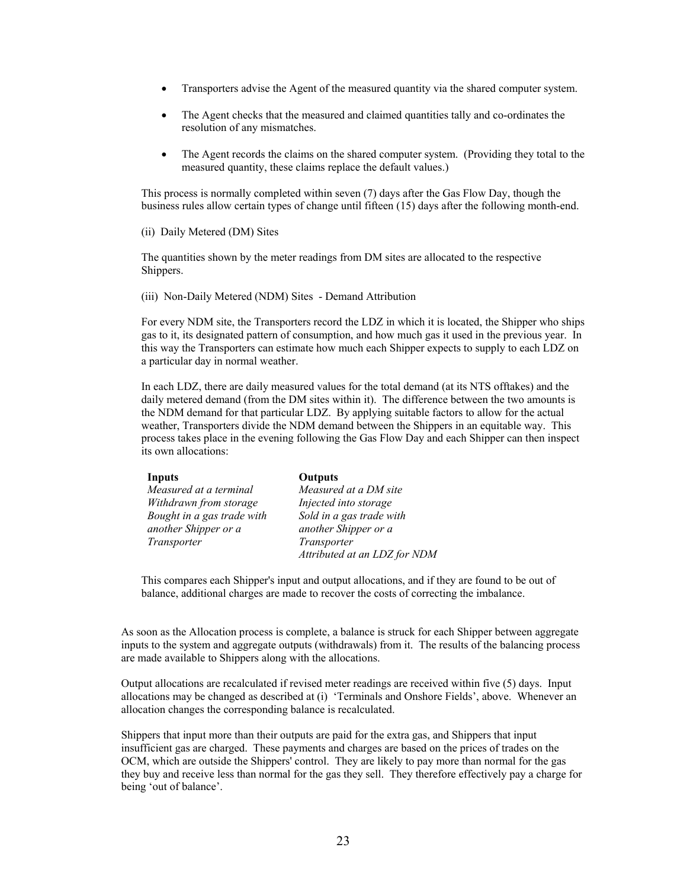- Transporters advise the Agent of the measured quantity via the shared computer system.
- The Agent checks that the measured and claimed quantities tally and co-ordinates the resolution of any mismatches.
- The Agent records the claims on the shared computer system. (Providing they total to the measured quantity, these claims replace the default values.)

This process is normally completed within seven (7) days after the Gas Flow Day, though the business rules allow certain types of change until fifteen (15) days after the following month-end.

(ii) Daily Metered (DM) Sites

The quantities shown by the meter readings from DM sites are allocated to the respective Shippers.

(iii) Non-Daily Metered (NDM) Sites - Demand Attribution

For every NDM site, the Transporters record the LDZ in which it is located, the Shipper who ships gas to it, its designated pattern of consumption, and how much gas it used in the previous year. In this way the Transporters can estimate how much each Shipper expects to supply to each LDZ on a particular day in normal weather.

In each LDZ, there are daily measured values for the total demand (at its NTS offtakes) and the daily metered demand (from the DM sites within it). The difference between the two amounts is the NDM demand for that particular LDZ. By applying suitable factors to allow for the actual weather, Transporters divide the NDM demand between the Shippers in an equitable way. This process takes place in the evening following the Gas Flow Day and each Shipper can then inspect its own allocations:

| Inputs                     | <b>Outputs</b>               |  |
|----------------------------|------------------------------|--|
| Measured at a terminal     | Measured at a DM site        |  |
| Withdrawn from storage     | Injected into storage        |  |
| Bought in a gas trade with | Sold in a gas trade with     |  |
| another Shipper or a       | another Shipper or a         |  |
| Transporter                | Transporter                  |  |
|                            | Attributed at an LDZ for NDM |  |

This compares each Shipper's input and output allocations, and if they are found to be out of balance, additional charges are made to recover the costs of correcting the imbalance.

As soon as the Allocation process is complete, a balance is struck for each Shipper between aggregate inputs to the system and aggregate outputs (withdrawals) from it. The results of the balancing process are made available to Shippers along with the allocations.

Output allocations are recalculated if revised meter readings are received within five (5) days. Input allocations may be changed as described at (i) 'Terminals and Onshore Fields', above. Whenever an allocation changes the corresponding balance is recalculated.

Shippers that input more than their outputs are paid for the extra gas, and Shippers that input insufficient gas are charged. These payments and charges are based on the prices of trades on the OCM, which are outside the Shippers' control. They are likely to pay more than normal for the gas they buy and receive less than normal for the gas they sell. They therefore effectively pay a charge for being 'out of balance'.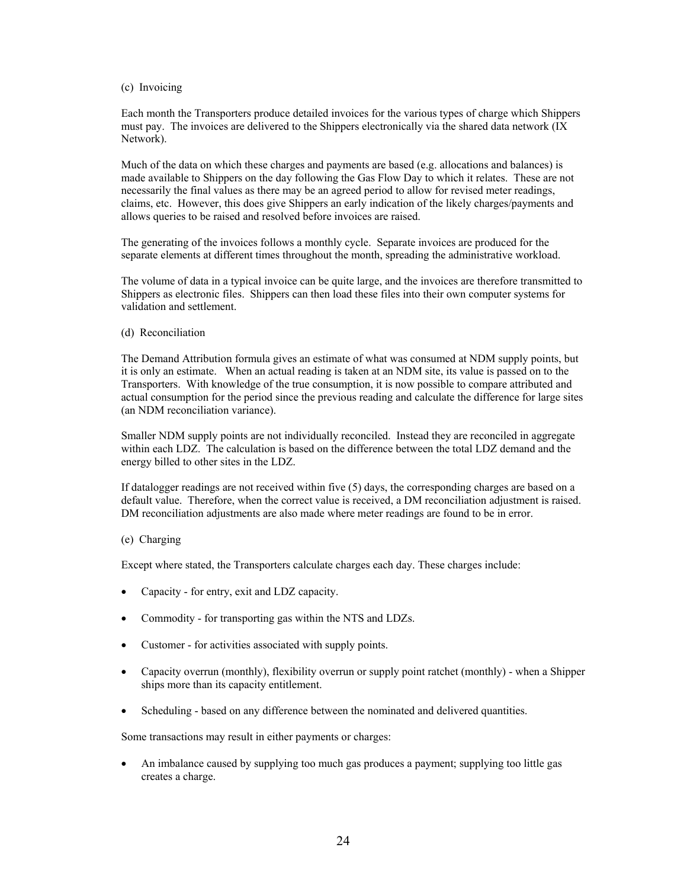#### (c) Invoicing

Each month the Transporters produce detailed invoices for the various types of charge which Shippers must pay. The invoices are delivered to the Shippers electronically via the shared data network (IX Network).

Much of the data on which these charges and payments are based (e.g. allocations and balances) is made available to Shippers on the day following the Gas Flow Day to which it relates. These are not necessarily the final values as there may be an agreed period to allow for revised meter readings, claims, etc. However, this does give Shippers an early indication of the likely charges/payments and allows queries to be raised and resolved before invoices are raised.

The generating of the invoices follows a monthly cycle. Separate invoices are produced for the separate elements at different times throughout the month, spreading the administrative workload.

The volume of data in a typical invoice can be quite large, and the invoices are therefore transmitted to Shippers as electronic files. Shippers can then load these files into their own computer systems for validation and settlement.

(d) Reconciliation

The Demand Attribution formula gives an estimate of what was consumed at NDM supply points, but it is only an estimate. When an actual reading is taken at an NDM site, its value is passed on to the Transporters. With knowledge of the true consumption, it is now possible to compare attributed and actual consumption for the period since the previous reading and calculate the difference for large sites (an NDM reconciliation variance).

Smaller NDM supply points are not individually reconciled. Instead they are reconciled in aggregate within each LDZ. The calculation is based on the difference between the total LDZ demand and the energy billed to other sites in the LDZ.

If datalogger readings are not received within five (5) days, the corresponding charges are based on a default value. Therefore, when the correct value is received, a DM reconciliation adjustment is raised. DM reconciliation adjustments are also made where meter readings are found to be in error.

#### (e) Charging

Except where stated, the Transporters calculate charges each day. These charges include:

- Capacity for entry, exit and LDZ capacity.
- Commodity for transporting gas within the NTS and LDZs.
- Customer for activities associated with supply points.
- Capacity overrun (monthly), flexibility overrun or supply point ratchet (monthly) when a Shipper ships more than its capacity entitlement.
- Scheduling based on any difference between the nominated and delivered quantities.

Some transactions may result in either payments or charges:

• An imbalance caused by supplying too much gas produces a payment; supplying too little gas creates a charge.